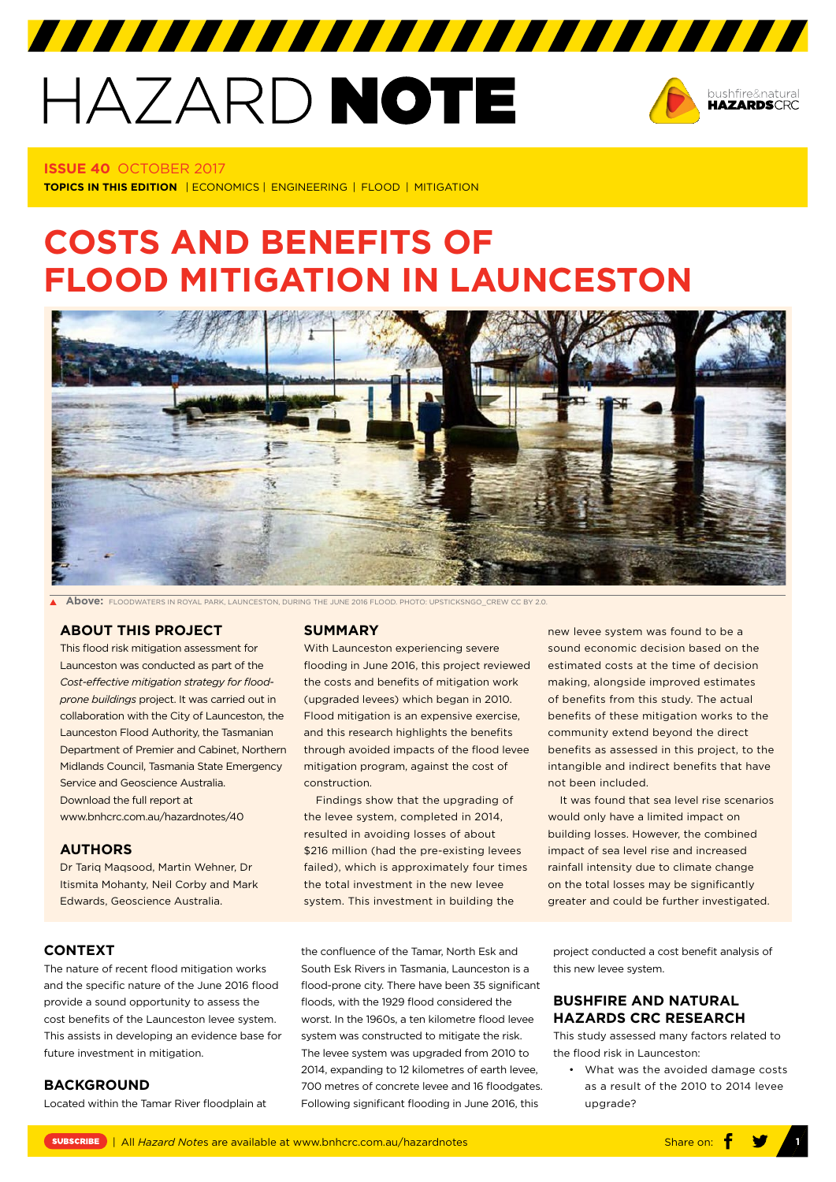# HAZARD NOTE



#### **ISSUE 40** OCTOBER 2017

**TOPICS IN THIS EDITION**  | ECONOMICS | ENGINEERING | FLOOD | MITIGATION

# **COSTS AND BENEFITS OF FLOOD MITIGATION IN LAUNCESTON**



**Above:** FLOODWATERS IN ROYAL PARK, LAUNCESTON, DURING THE JUNE 2016 FLOOD. PHOTO: UPSTICKSNGO\_CREW CC BY 2.0.

# **[ABOUT THIS PROJECT](https://www.bnhcrc.com.au/research/understanding-mitigating-hazards/243)**

This flood risk mitigation assessment for Launceston was conducted as part of the *Cost-effective mitigation strategy for floodprone buildings* project. It was carried out in collaboration with the City of Launceston, the Launceston Flood Authority, the Tasmanian Department of Premier and Cabinet, Northern Midlands Council, Tasmania State Emergency Service and Geoscience Australia. Download the full report at <www.bnhcrc.com.au/hazardnotes/40>

#### **AUTHORS**

Dr Tariq Maqsood, Martin Wehner, Dr Itismita Mohanty, Neil Corby and Mark Edwards, Geoscience Australia.

#### **SUMMARY**

With Launceston experiencing severe flooding in June 2016, this project reviewed the costs and benefits of mitigation work (upgraded levees) which began in 2010. Flood mitigation is an expensive exercise, and this research highlights the benefits through avoided impacts of the flood levee mitigation program, against the cost of construction.

Findings show that the upgrading of the levee system, completed in 2014, resulted in avoiding losses of about \$216 million (had the pre-existing levees failed), which is approximately four times the total investment in the new levee system. This investment in building the

sound economic decision based on the estimated costs at the time of decision making, alongside improved estimates of benefits from this study. The actual benefits of these mitigation works to the community extend beyond the direct benefits as assessed in this project, to the intangible and indirect benefits that have not been included.

new levee system was found to be a

It was found that sea level rise scenarios would only have a limited impact on building losses. However, the combined impact of sea level rise and increased rainfall intensity due to climate change on the total losses may be significantly greater and could be further investigated.

# **CONTEXT**

The nature of recent flood mitigation works and the specific nature of the June 2016 flood provide a sound opportunity to assess the cost benefits of the Launceston levee system. This assists in developing an evidence base for future investment in mitigation.

# **BACKGROUND**

Located within the Tamar River floodplain at

the confluence of the Tamar, North Esk and South Esk Rivers in Tasmania, Launceston is a flood-prone city. There have been 35 significant floods, with the 1929 flood considered the worst. In the 1960s, a ten kilometre flood levee system was constructed to mitigate the risk. The levee system was upgraded from 2010 to 2014, expanding to 12 kilometres of earth levee, 700 metres of concrete levee and 16 floodgates. Following significant flooding in June 2016, this

project conducted a cost benefit analysis of this new levee system.

# **BUSHFIRE AND NATURAL HAZARDS CRC RESEARCH**

This study assessed many factors related to the flood risk in Launceston:

• What was the avoided damage costs as a result of the 2010 to 2014 levee upgrade?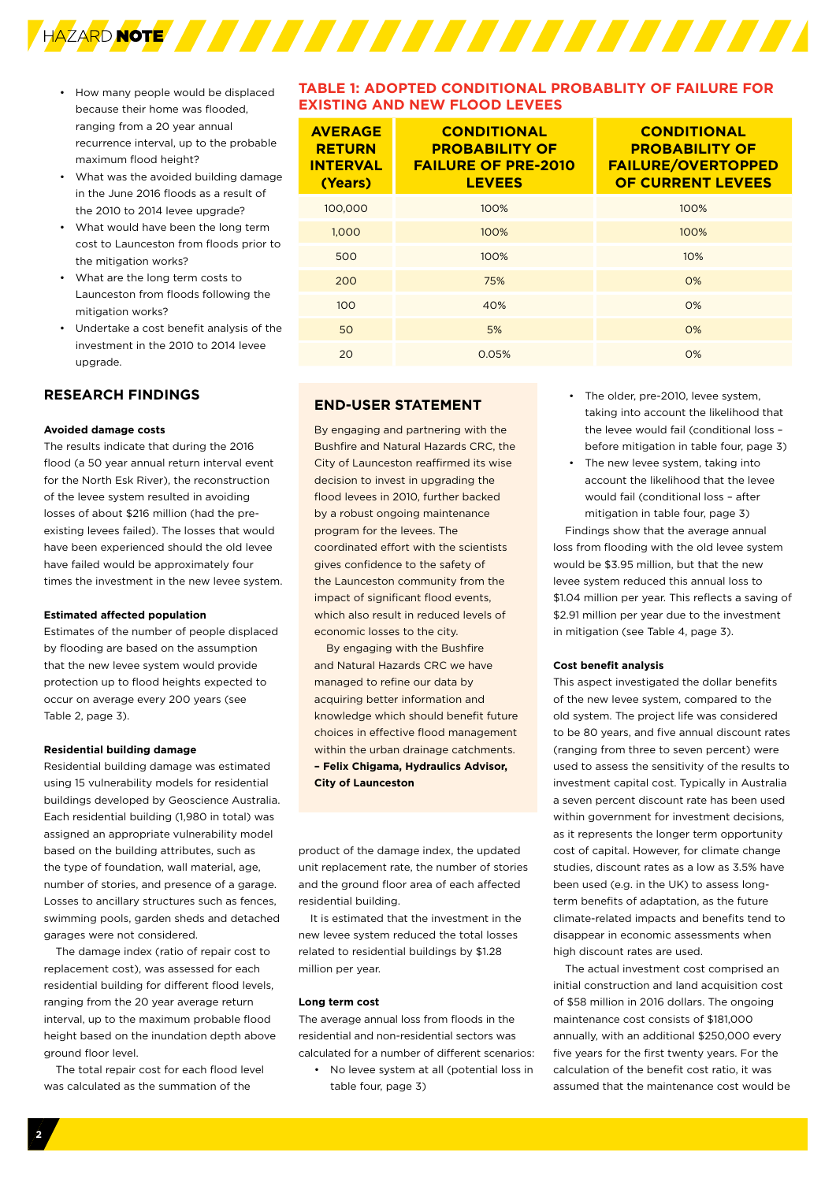

- How many people would be displaced because their home was flooded, ranging from a 20 year annual recurrence interval, up to the probable maximum flood height?
- What was the avoided building damage in the June 2016 floods as a result of the 2010 to 2014 levee upgrade?
- What would have been the long term cost to Launceston from floods prior to the mitigation works?
- What are the long term costs to Launceston from floods following the mitigation works?
- Undertake a cost benefit analysis of the investment in the 2010 to 2014 levee upgrade.

# **RESEARCH FINDINGS**

#### **Avoided damage costs**

The results indicate that during the 2016 flood (a 50 year annual return interval event for the North Esk River), the reconstruction of the levee system resulted in avoiding losses of about \$216 million (had the preexisting levees failed). The losses that would have been experienced should the old levee have failed would be approximately four times the investment in the new levee system.

#### **Estimated affected population**

Estimates of the number of people displaced by flooding are based on the assumption that the new levee system would provide protection up to flood heights expected to occur on average every 200 years (see Table 2, page 3).

#### **Residential building damage**

Residential building damage was estimated using 15 vulnerability models for residential buildings developed by Geoscience Australia. Each residential building (1,980 in total) was assigned an appropriate vulnerability model based on the building attributes, such as the type of foundation, wall material, age, number of stories, and presence of a garage. Losses to ancillary structures such as fences, swimming pools, garden sheds and detached garages were not considered.

The damage index (ratio of repair cost to replacement cost), was assessed for each residential building for different flood levels, ranging from the 20 year average return interval, up to the maximum probable flood height based on the inundation depth above ground floor level.

The total repair cost for each flood level was calculated as the summation of the

# **TABLE 1: ADOPTED CONDITIONAL PROBABLITY OF FAILURE FOR EXISTING AND NEW FLOOD LEVEES**

| <b>AVERAGE</b><br><b>RETURN</b><br><b>INTERVAL</b><br>(Years) | <b>CONDITIONAL</b><br><b>PROBABILITY OF</b><br><b>FAILURE OF PRE-2010</b><br><b>LEVEES</b> | <b>CONDITIONAL</b><br><b>PROBABILITY OF</b><br><b>FAILURE/OVERTOPPED</b><br>OF CURRENT LEVEES |
|---------------------------------------------------------------|--------------------------------------------------------------------------------------------|-----------------------------------------------------------------------------------------------|
| 100.000                                                       | 100%                                                                                       | 100%                                                                                          |
| 1,000                                                         | 100%                                                                                       | 100%                                                                                          |
| 500                                                           | 100%                                                                                       | 10%                                                                                           |
| 200                                                           | 75%                                                                                        | O%                                                                                            |
| 100                                                           | 40%                                                                                        | O%                                                                                            |
| 50                                                            | 5%                                                                                         | O%                                                                                            |
| 20                                                            | 0.05%                                                                                      | O%                                                                                            |

# **END-USER STATEMENT**

By engaging and partnering with the Bushfire and Natural Hazards CRC, the City of Launceston reaffirmed its wise decision to invest in upgrading the flood levees in 2010, further backed by a robust ongoing maintenance program for the levees. The coordinated effort with the scientists gives confidence to the safety of the Launceston community from the impact of significant flood events, which also result in reduced levels of economic losses to the city.

By engaging with the Bushfire and Natural Hazards CRC we have managed to refine our data by acquiring better information and knowledge which should benefit future choices in effective flood management within the urban drainage catchments. **– Felix Chigama, Hydraulics Advisor, City of Launceston** 

product of the damage index, the updated unit replacement rate, the number of stories and the ground floor area of each affected residential building.

It is estimated that the investment in the new levee system reduced the total losses related to residential buildings by \$1.28 million per year.

#### **Long term cost**

The average annual loss from floods in the residential and non-residential sectors was calculated for a number of different scenarios:

• No levee system at all (potential loss in table four, page 3)

- The older, pre-2010, levee system, taking into account the likelihood that the levee would fail (conditional loss – before mitigation in table four, page 3)
- The new levee system, taking into account the likelihood that the levee would fail (conditional loss – after mitigation in table four, page 3)

Findings show that the average annual loss from flooding with the old levee system would be \$3.95 million, but that the new levee system reduced this annual loss to \$1.04 million per year. This reflects a saving of \$2.91 million per year due to the investment in mitigation (see Table 4, page 3).

#### **Cost benefit analysis**

This aspect investigated the dollar benefits of the new levee system, compared to the old system. The project life was considered to be 80 years, and five annual discount rates (ranging from three to seven percent) were used to assess the sensitivity of the results to investment capital cost. Typically in Australia a seven percent discount rate has been used within government for investment decisions, as it represents the longer term opportunity cost of capital. However, for climate change studies, discount rates as a low as 3.5% have been used (e.g. in the UK) to assess longterm benefits of adaptation, as the future climate-related impacts and benefits tend to disappear in economic assessments when high discount rates are used.

The actual investment cost comprised an initial construction and land acquisition cost of \$58 million in 2016 dollars. The ongoing maintenance cost consists of \$181,000 annually, with an additional \$250,000 every five years for the first twenty years. For the calculation of the benefit cost ratio, it was assumed that the maintenance cost would be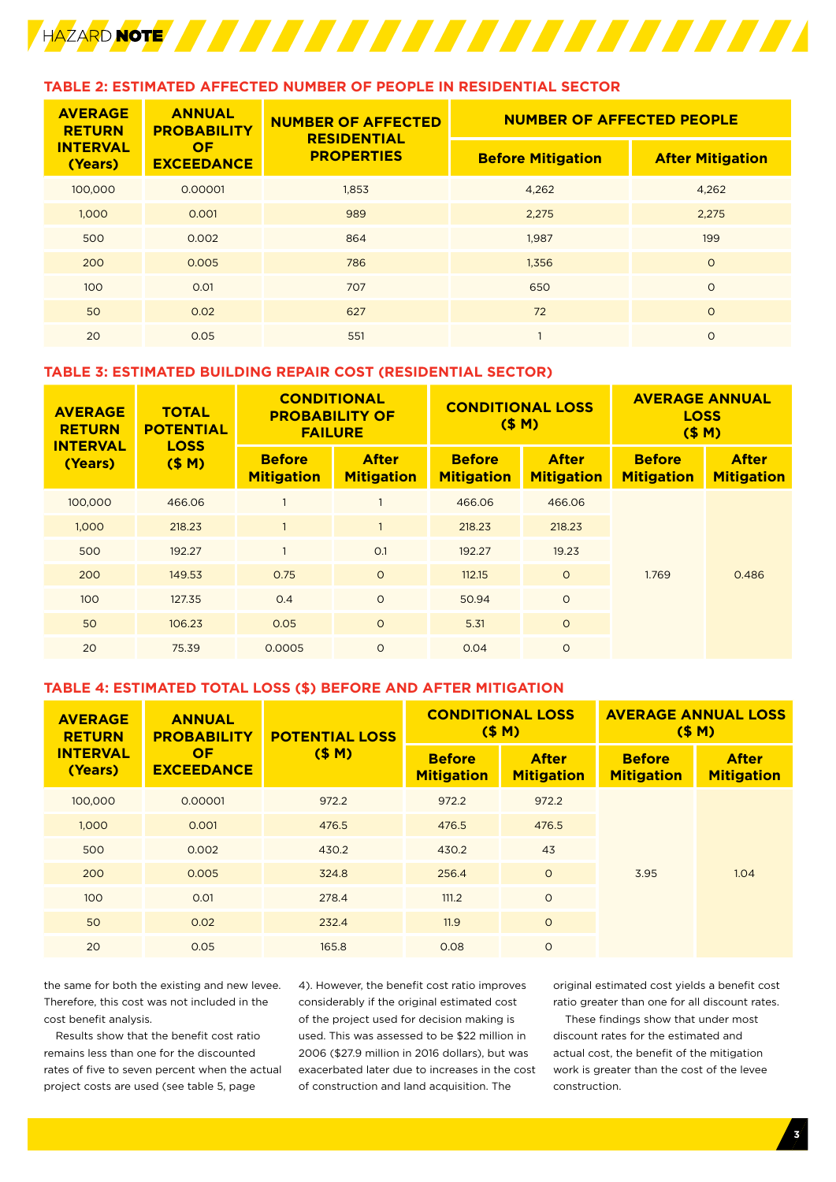

# **TABLE 2: ESTIMATED AFFECTED NUMBER OF PEOPLE IN RESIDENTIAL SECTOR**

| <b>AVERAGE</b><br><b>RETURN</b> | <b>ANNUAL</b><br><b>PROBABILITY</b> | <b>NUMBER OF AFFECTED</b><br><b>RESIDENTIAL</b> | <b>NUMBER OF AFFECTED PEOPLE</b> |                         |  |  |  |
|---------------------------------|-------------------------------------|-------------------------------------------------|----------------------------------|-------------------------|--|--|--|
| <b>INTERVAL</b><br>(Years)      | <b>OF</b><br><b>EXCEEDANCE</b>      | <b>PROPERTIES</b>                               | <b>Before Mitigation</b>         | <b>After Mitigation</b> |  |  |  |
| 100,000                         | 0.00001                             | 1,853                                           | 4,262                            | 4,262                   |  |  |  |
| 1,000                           | 0.001                               | 989                                             | 2,275                            | 2,275                   |  |  |  |
| 500                             | 0.002                               | 864                                             | 1.987                            | 199                     |  |  |  |
| 200                             | 0.005                               | 786                                             | 1,356                            | $\circ$                 |  |  |  |
| 100                             | 0.01                                | 707                                             | 650                              | $\Omega$                |  |  |  |
| 50                              | 0.02                                | 627                                             | 72                               | $\circ$                 |  |  |  |
| 20                              | 0.05                                | 551                                             |                                  | $\circ$                 |  |  |  |

# **TABLE 3: ESTIMATED BUILDING REPAIR COST (RESIDENTIAL SECTOR)**

| <b>AVERAGE</b><br><b>RETURN</b> | <b>TOTAL</b><br><b>POTENTIAL</b><br><b>LOSS</b><br>(SM) | <b>CONDITIONAL</b><br><b>PROBABILITY OF</b><br><b>FAILURE</b> |                                   | <b>CONDITIONAL LOSS</b><br>(SM)    |                                   | <b>AVERAGE ANNUAL</b><br><b>LOSS</b><br>(SM) |                                   |  |
|---------------------------------|---------------------------------------------------------|---------------------------------------------------------------|-----------------------------------|------------------------------------|-----------------------------------|----------------------------------------------|-----------------------------------|--|
| <b>INTERVAL</b><br>(Years)      |                                                         | <b>Before</b><br><b>Mitigation</b>                            | <b>After</b><br><b>Mitigation</b> | <b>Before</b><br><b>Mitigation</b> | <b>After</b><br><b>Mitigation</b> | <b>Before</b><br><b>Mitigation</b>           | <b>After</b><br><b>Mitigation</b> |  |
| 100,000                         | 466.06                                                  |                                                               |                                   | 466.06                             | 466.06                            |                                              |                                   |  |
| 1.000                           | 218.23                                                  |                                                               |                                   | 218.23                             | 218.23                            |                                              |                                   |  |
| 500                             | 192.27                                                  |                                                               | O.1                               | 192.27                             | 19.23                             |                                              |                                   |  |
| 200                             | 149.53                                                  | 0.75                                                          | $\circ$                           | 112.15                             | $\circ$                           | 1.769                                        | 0.486                             |  |
| 100                             | 127.35                                                  | O.4                                                           | $\circ$                           | 50.94                              | $\circ$                           |                                              |                                   |  |
| 50                              | 106.23                                                  | 0.05                                                          | $\circ$                           | 5.31                               | $\circ$                           |                                              |                                   |  |
| 20                              | 75.39                                                   | 0.0005                                                        | $\Omega$                          | 0.04                               | $\circ$                           |                                              |                                   |  |

# **TABLE 4: ESTIMATED TOTAL LOSS (\$) BEFORE AND AFTER MITIGATION**

| <b>AVERAGE</b><br><b>RETURN</b> | <b>ANNUAL</b><br><b>PROBABILITY</b> | <b>POTENTIAL LOSS</b> |                                    | <b>CONDITIONAL LOSS</b><br>(SM)   | <b>AVERAGE ANNUAL LOSS</b><br>(SM) |                                   |  |
|---------------------------------|-------------------------------------|-----------------------|------------------------------------|-----------------------------------|------------------------------------|-----------------------------------|--|
| <b>INTERVAL</b><br>(Years)      | <b>OF</b><br><b>EXCEEDANCE</b>      | (SM)                  | <b>Before</b><br><b>Mitigation</b> | <b>After</b><br><b>Mitigation</b> | <b>Before</b><br><b>Mitigation</b> | <b>After</b><br><b>Mitigation</b> |  |
| 100.000                         | 0.00001                             | 972.2                 | 972.2                              | 972.2                             |                                    | 1.04                              |  |
| 1,000                           | 0.001                               | 476.5                 | 476.5                              | 476.5                             |                                    |                                   |  |
| 500                             | 0.002                               | 430.2                 | 430.2                              | 43                                |                                    |                                   |  |
| 200                             | 0.005                               | 324.8                 | 256.4                              | $\circ$                           | 3.95                               |                                   |  |
| 100                             | 0.01                                | 278.4                 | 111.2                              | $\circ$                           |                                    |                                   |  |
| 50                              | 0.02                                | 232.4                 | 11.9                               | $\circ$                           |                                    |                                   |  |
| 20                              | 0.05                                | 165.8                 | 0.08                               | $\circ$                           |                                    |                                   |  |

the same for both the existing and new levee. Therefore, this cost was not included in the cost benefit analysis.

Results show that the benefit cost ratio remains less than one for the discounted rates of five to seven percent when the actual project costs are used (see table 5, page

4). However, the benefit cost ratio improves considerably if the original estimated cost of the project used for decision making is used. This was assessed to be \$22 million in 2006 (\$27.9 million in 2016 dollars), but was exacerbated later due to increases in the cost of construction and land acquisition. The

original estimated cost yields a benefit cost ratio greater than one for all discount rates.

These findings show that under most discount rates for the estimated and actual cost, the benefit of the mitigation work is greater than the cost of the levee construction.